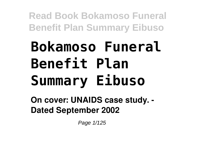# **Bokamoso Funeral Benefit Plan Summary Eibuso**

**On cover: UNAIDS case study. - Dated September 2002**

Page 1/125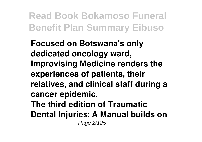**Focused on Botswana's only dedicated oncology ward, Improvising Medicine renders the experiences of patients, their relatives, and clinical staff during a cancer epidemic. The third edition of Traumatic Dental Injuries: A Manual builds on** Page 2/125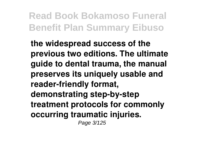**the widespread success of the previous two editions. The ultimate guide to dental trauma, the manual preserves its uniquely usable and reader-friendly format, demonstrating step-by-step treatment protocols for commonly occurring traumatic injuries.** Page 3/125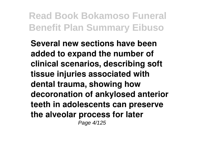**Several new sections have been added to expand the number of clinical scenarios, describing soft tissue injuries associated with dental trauma, showing how decoronation of ankylosed anterior teeth in adolescents can preserve the alveolar process for later** Page 4/125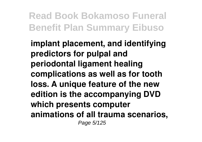**implant placement, and identifying predictors for pulpal and periodontal ligament healing complications as well as for tooth loss. A unique feature of the new edition is the accompanying DVD which presents computer animations of all trauma scenarios,** Page 5/125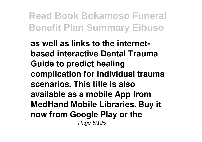**as well as links to the internetbased interactive Dental Trauma Guide to predict healing complication for individual trauma scenarios. This title is also available as a mobile App from MedHand Mobile Libraries. Buy it now from Google Play or the** Page 6/125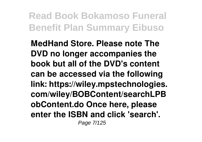**MedHand Store. Please note The DVD no longer accompanies the book but all of the DVD's content can be accessed via the following link: https://wiley.mpstechnologies. com/wiley/BOBContent/searchLPB obContent.do Once here, please enter the ISBN and click 'search'.** Page 7/125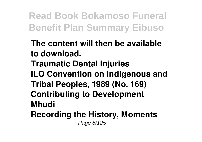- **The content will then be available to download.**
- **Traumatic Dental Injuries ILO Convention on Indigenous and Tribal Peoples, 1989 (No. 169) Contributing to Development Mhudi**
- **Recording the History, Moments** Page 8/125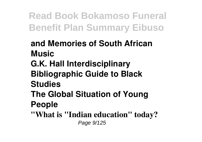**and Memories of South African Music G.K. Hall Interdisciplinary Bibliographic Guide to Black Studies The Global Situation of Young People "What is "Indian education" today?**

Page 9/125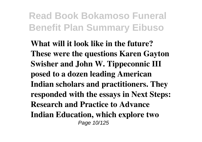**What will it look like in the future? These were the questions Karen Gayton Swisher and John W. Tippeconnic III posed to a dozen leading American Indian scholars and practitioners. They responded with the essays in Next Steps: Research and Practice to Advance Indian Education, which explore two** Page 10/125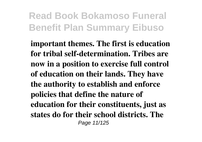**important themes. The first is education for tribal self-determination. Tribes are now in a position to exercise full control of education on their lands. They have the authority to establish and enforce policies that define the nature of education for their constituents, just as states do for their school districts. The** Page 11/125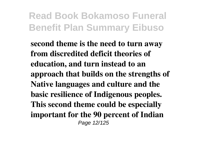**second theme is the need to turn away from discredited deficit theories of education, and turn instead to an approach that builds on the strengths of Native languages and culture and the basic resilience of Indigenous peoples. This second theme could be especially important for the 90 percent of Indian** Page 12/125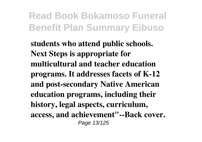**students who attend public schools. Next Steps is appropriate for multicultural and teacher education programs. It addresses facets of K-12 and post-secondary Native American education programs, including their history, legal aspects, curriculum, access, and achievement"--Back cover.** Page 13/125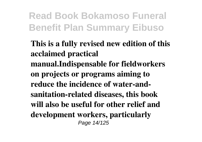**This is a fully revised new edition of this acclaimed practical manual.Indispensable for fieldworkers on projects or programs aiming to reduce the incidence of water-andsanitation-related diseases, this book will also be useful for other relief and development workers, particularly** Page 14/125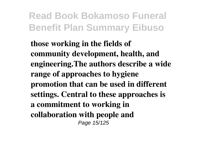**those working in the fields of community development, health, and engineering.The authors describe a wide range of approaches to hygiene promotion that can be used in different settings. Central to these approaches is a commitment to working in collaboration with people and** Page 15/125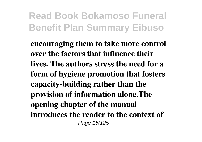**encouraging them to take more control over the factors that influence their lives. The authors stress the need for a form of hygiene promotion that fosters capacity-building rather than the provision of information alone.The opening chapter of the manual introduces the reader to the context of** Page 16/125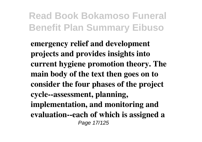**emergency relief and development projects and provides insights into current hygiene promotion theory. The main body of the text then goes on to consider the four phases of the project cycle--assessment, planning, implementation, and monitoring and evaluation--each of which is assigned a** Page 17/125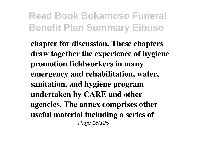**chapter for discussion. These chapters draw together the experience of hygiene promotion fieldworkers in many emergency and rehabilitation, water, sanitation, and hygiene program undertaken by CARE and other agencies. The annex comprises other useful material including a series of** Page 18/125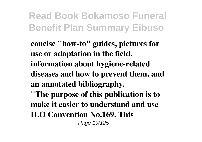**concise "how-to" guides, pictures for use or adaptation in the field, information about hygiene-related diseases and how to prevent them, and an annotated bibliography. "The purpose of this publication is to make it easier to understand and use ILO Convention No.169. This** Page 19/125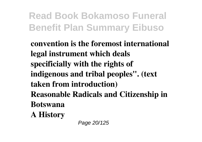**convention is the foremost international legal instrument which deals specificially with the rights of indigenous and tribal peoples". (text taken from introduction) Reasonable Radicals and Citizenship in Botswana**

**A History**

Page 20/125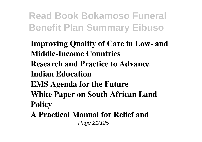**Improving Quality of Care in Low- and Middle-Income Countries Research and Practice to Advance Indian Education EMS Agenda for the Future White Paper on South African Land Policy**

**A Practical Manual for Relief and** Page 21/125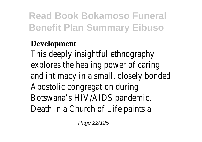#### **Development**

This deeply insightful ethnography explores the healing power of caring and intimacy in a small, closely bonded Apostolic congregation during Botswana's HIV/AIDS pandemic. Death in a Church of Life paints a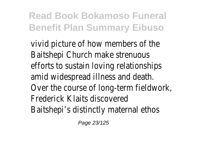vivid picture of how members of the Baitshepi Church make strenuous efforts to sustain loving relationships amid widespread illness and death. Over the course of long-term fieldwork, Frederick Klaits discovered Baitshepi's distinctly maternal ethos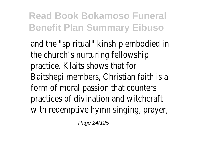and the "spiritual" kinship embodied in the church's nurturing fellowship practice. Klaits shows that for Baitshepi members, Christian faith is a form of moral passion that counters practices of divination and witchcraft with redemptive hymn singing, prayer,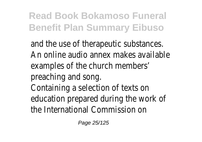and the use of therapeutic substances. An online audio annex makes available examples of the church members' preaching and song. Containing a selection of texts on education prepared during the work of the International Commission on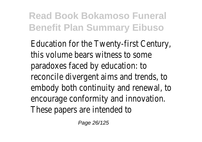Education for the Twenty-first Century, this volume bears witness to some paradoxes faced by education: to reconcile divergent aims and trends, to embody both continuity and renewal, to encourage conformity and innovation. These papers are intended to

Page 26/125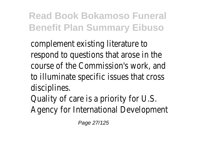complement existing literature to respond to questions that arose in the course of the Commission's work, and to illuminate specific issues that cross disciplines.

Quality of care is a priority for U.S. Agency for International Development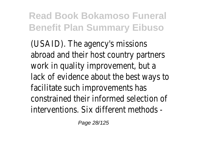(USAID). The agency's missions abroad and their host country partners work in quality improvement, but a lack of evidence about the best ways to facilitate such improvements has constrained their informed selection of interventions. Six different methods -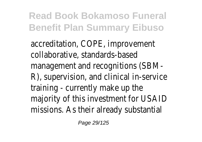accreditation, COPE, improvement collaborative, standards-based management and recognitions (SBM-R), supervision, and clinical in-service training - currently make up the majority of this investment for USAID missions. As their already substantial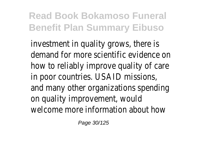investment in quality grows, there is demand for more scientific evidence on how to reliably improve quality of care in poor countries. USAID missions, and many other organizations spending on quality improvement, would welcome more information about how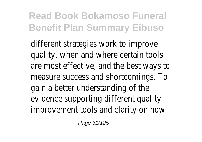different strategies work to improve quality, when and where certain tools are most effective, and the best ways to measure success and shortcomings. To gain a better understanding of the evidence supporting different quality improvement tools and clarity on how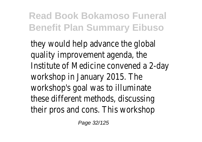they would help advance the global quality improvement agenda, the Institute of Medicine convened a 2-day workshop in January 2015. The workshop's goal was to illuminate these different methods, discussing their pros and cons. This workshop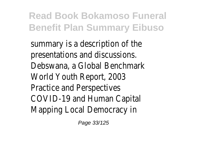summary is a description of the presentations and discussions. Debswana, a Global Benchmark World Youth Report, 2003 Practice and Perspectives COVID-19 and Human Capital Mapping Local Democracy in

Page 33/125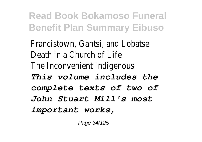Francistown, Gantsi, and Lobatse Death in a Church of Life The Inconvenient Indigenous *This volume includes the complete texts of two of John Stuart Mill's most important works,*

Page 34/125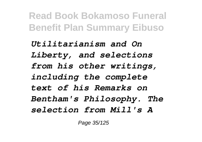*Utilitarianism and On Liberty, and selections from his other writings, including the complete text of his Remarks on Bentham's Philosophy. The selection from Mill's A*

Page 35/125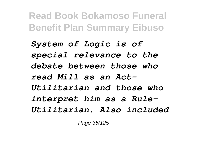*System of Logic is of special relevance to the debate between those who read Mill as an Act-Utilitarian and those who interpret him as a Rule-Utilitarian. Also included*

Page 36/125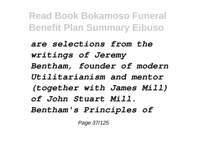*are selections from the writings of Jeremy Bentham, founder of modern Utilitarianism and mentor (together with James Mill) of John Stuart Mill. Bentham's Principles of*

Page 37/125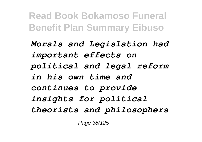*Morals and Legislation had important effects on political and legal reform in his own time and continues to provide insights for political theorists and philosophers*

Page 38/125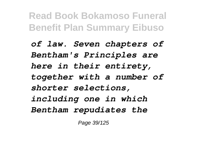*of law. Seven chapters of Bentham's Principles are here in their entirety, together with a number of shorter selections, including one in which Bentham repudiates the*

Page 39/125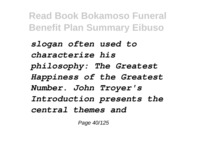*slogan often used to characterize his philosophy: The Greatest Happiness of the Greatest Number. John Troyer's Introduction presents the central themes and*

Page 40/125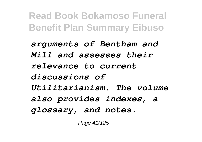*arguments of Bentham and Mill and assesses their relevance to current discussions of Utilitarianism. The volume also provides indexes, a glossary, and notes.*

Page 41/125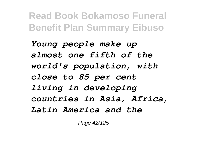*Young people make up almost one fifth of the world's population, with close to 85 per cent living in developing countries in Asia, Africa, Latin America and the*

Page 42/125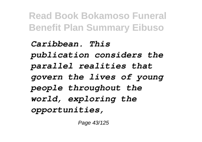*Caribbean. This publication considers the parallel realities that govern the lives of young people throughout the world, exploring the opportunities,*

Page 43/125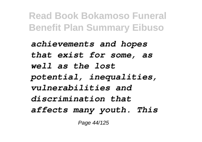*achievements and hopes that exist for some, as well as the lost potential, inequalities, vulnerabilities and discrimination that affects many youth. This*

Page 44/125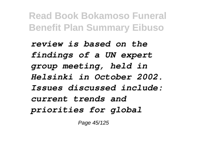*review is based on the findings of a UN expert group meeting, held in Helsinki in October 2002. Issues discussed include: current trends and priorities for global*

Page 45/125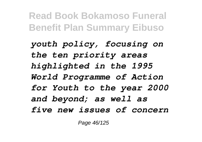*youth policy, focusing on the ten priority areas highlighted in the 1995 World Programme of Action for Youth to the year 2000 and beyond; as well as five new issues of concern*

Page 46/125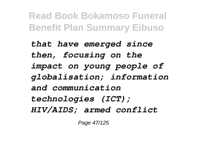*that have emerged since then, focusing on the impact on young people of globalisation; information and communication technologies (ICT); HIV/AIDS; armed conflict*

Page 47/125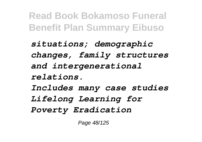*situations; demographic changes, family structures and intergenerational relations. Includes many case studies Lifelong Learning for Poverty Eradication*

Page 48/125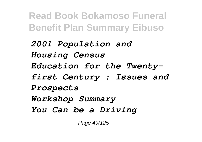*2001 Population and Housing Census Education for the Twentyfirst Century : Issues and Prospects Workshop Summary You Can be a Driving*

Page 49/125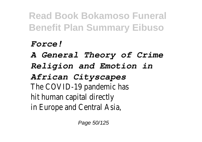## *Force!*

*A General Theory of Crime*

*Religion and Emotion in*

*African Cityscapes*

The COVID-19 pandemic ha hit human capital directl in Europe and Central Asia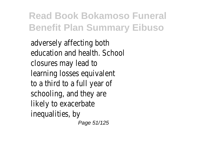adversely affecting both education and health. School closures may lead to learning losses equivalent to a third to a full year of schooling, and they are likely to exacerbate inequalities, by Page 51/125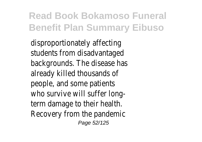disproportionately affectin students from disadvantage backgrounds. The disease has already killed thousands of people, and some patients who survive will suffer longterm damage to their health Recovery from the pandemic Page 52/125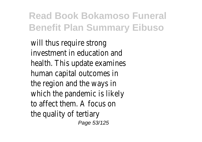will thus require strong investment in education an health. This update examines human capital outcomes in the region and the ways in which the pandemic is likely to affect them. A focus on the quality of tertiar Page 53/125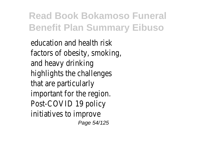education and health ris factors of obesity, smoking and heavy drinking highlights the challenges that are particularly important for the regior Post-COVID 19 polic initiatives to improve Page 54/125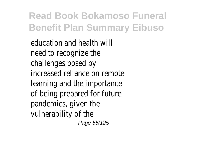education and health will need to recognize the challenges posed by increased reliance on remote learning and the importance of being prepared for futur pandemics, given the vulnerability of the Page 55/125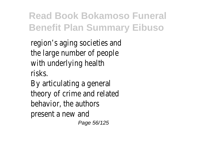region's aging societies and the large number of people with underlying health risks.

By articulating a general theory of crime and relate behavior, the authors present a new and Page 56/125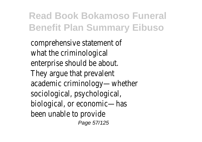comprehensive statement of what the criminological enterprise should be about They argue that prevalent academic criminology—whethe sociological, psychological biological, or economic—has been unable to provide Page 57/125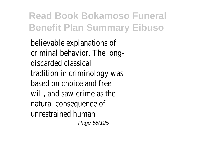believable explanations of criminal behavior. The longdiscarded classical tradition in criminology was based on choice and free will, and saw crime as the natural consequence of unrestrained human Page 58/125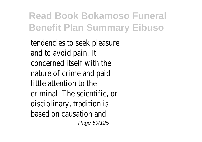tendencies to seek pleasure and to avoid pain. I concerned itself with the nature of crime and paid  $l$ ittle attention to the  $l$ criminal. The scientific, or disciplinary, tradition is based on causation and Page 59/125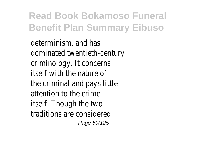determinism, and has dominated twentieth-centur criminology. It concerns itself with the nature of the criminal and pays little attention to the crim itself. Though the two traditions are considere Page 60/125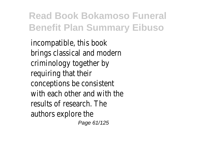incompatible, this book brings classical and modern criminology together by requiring that thei conceptions be consisten with each other and with the results of research. The authors explore the Page 61/125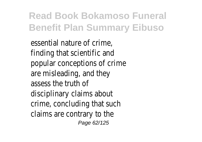essential nature of crime finding that scientific and popular conceptions of crim are misleading, and they assess the truth of disciplinary claims about crime, concluding that such claims are contrary to the Page 62/125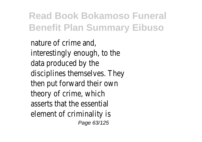nature of crime and interestingly enough, to the data produced by the disciplines themselves. They then put forward their own theory of crime, which asserts that the essential element of criminality is Page 63/125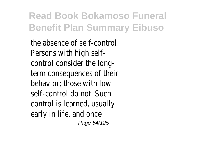the absence of self-control. Persons with high selfcontrol consider the longterm consequences of their behavior; those with low self-control do not. Such control is learned, usually early in life, and once Page 64/125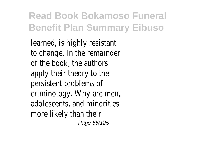learned, is highly resistan to change. In the remainde of the book, the author apply their theory to the persistent problems of criminology. Why are men, adolescents, and minorities more likely than thei Page 65/125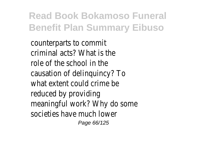counterparts to commi criminal acts? What is the role of the school in the causation of delinquincy? To what extent could crime b reduced by providing meaningful work? Why do son societies have much lower Page 66/125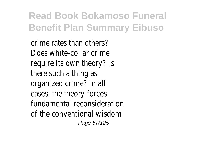crime rates than others? Does white-collar crime require its own theory? I there such a thing as organized crime? In all cases, the theory forces fundamental reconsideration of the conventional wisdom Page 67/125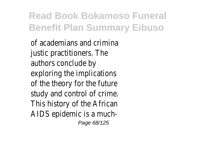of academians and crimina justic practitioners. The authors conclude by exploring the implications of the theory for the future study and control of crime. This history of the Africal AIDS epidemic is a much-Page 68/125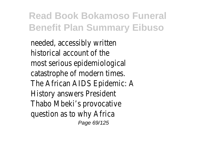needed, accessibly written historical account of the most serious epidemiological catastrophe of modern times The African AIDS Epidemic: A History answers Presiden Thabo Mbeki's provocative question as to why Africa Page 69/125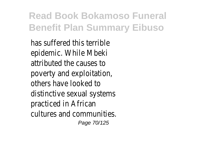has suffered this terrible epidemic. While Mbek attributed the causes to poverty and exploitation others have looked to distinctive sexual systems practiced in African cultures and communities. Page 70/125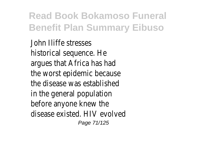John Iliffe stresses historical sequence. He argues that Africa has had the worst epidemic because the disease was established in the general population before anyone knew the disease existed. HIV evolved Page 71/125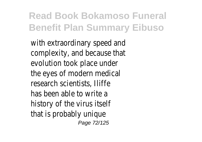with extraordinary speed an complexity, and because that evolution took place unde the eyes of modern medical research scientists, lliffe has been able to write history of the virus itsel that is probably unique Page 72/125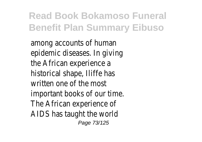among accounts of human epidemic diseases. In giving the African experience a historical shape, Iliffe has written one of the most important books of our time. The African experience of AIDS has taught the world Page 73/125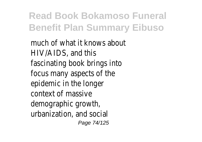much of what it knows about HIV/AIDS, and this fascinating book brings into focus many aspects of the epidemic in the longer context of massive demographic growth, urbanization, and social Page 74/125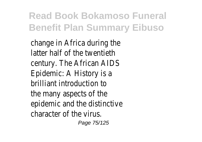change in Africa during the latter half of the twentieth century. The African AIDS Epidemic: A History is a brilliant introduction to the many aspects of the epidemic and the distinctive character of the virus.

Page 75/125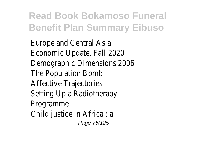Europe and Central Asia Economic Update, Fall 2020 Demographic Dimensions 2006 The Population Bomb Affective Trajectories Setting Up a Radiotherapy Programme Child justice in Africa : a Page 76/125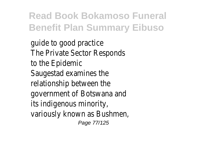guide to good practice The Private Sector Responds to the Epidemic Saugestad examines the relationship between the government of Botswana and its indigenous minority, variously known as Bushmen, Page 77/125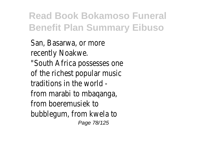San, Basarwa, or more recently Noakwe. "South Africa possesses one of the richest popular music traditions in the world from marabi to mbaqanga, from boeremusiek to bubblegum, from kwela to Page 78/125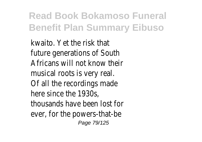kwaito. Yet the risk that future generations of South Africans will not know their musical roots is very real. Of all the recordings made here since the 1930s, thousands have been lost for ever, for the powers-that-be Page 79/125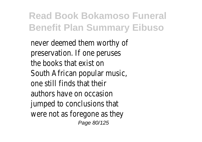never deemed them worthy of preservation. If one peruses the books that exist on South African popular music, one still finds that their authors have on occasion jumped to conclusions that were not as foregone as they Page 80/125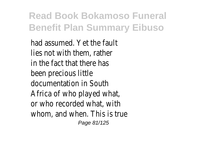had assumed. Yet the fault lies not with them, rather in the fact that there has been precious little documentation in South Africa of who played what, or who recorded what, with whom, and when. This is true Page 81/125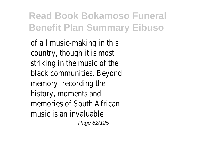of all music-making in this country, though it is most striking in the music of the black communities. Beyond memory: recording the history, moments and memories of South African music is an invaluable

Page 82/125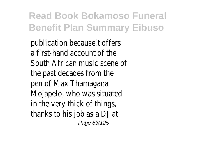publication becauseit offers a first-hand account of the South African music scene of the past decades from the pen of Max Thamagana Mojapelo, who was situated in the very thick of things, thanks to his job as a DJ at Page 83/125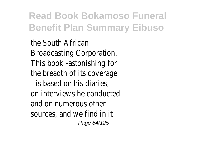the South African Broadcasting Corporation. This book -astonishing for the breadth of its coverage - is based on his diaries, on interviews he conducted and on numerous other sources, and we find in it Page 84/125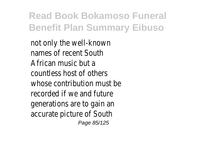not only the well-known names of recent South African music but a countless host of others whose contribution must be recorded if we and future generations are to gain an accurate picture of South Page 85/125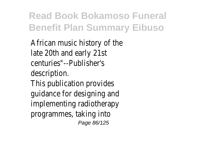African music history of the late 20th and early 21st centuries"--Publisher's description. This publication provides guidance for designing and implementing radiotherapy programmes, taking into

Page 86/125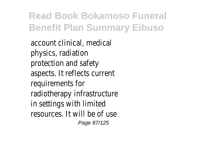account clinical, medical physics, radiation protection and safety aspects. It reflects current requirements for radiotherapy infrastructure in settings with limited resources. It will be of use Page 87/125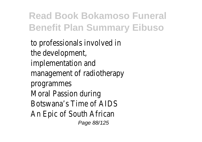to professionals involved in the development, implementation and management of radiotherapy programmes Moral Passion during Botswana's Time of AIDS An Epic of South African Page 88/125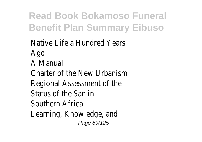Native Life a Hundred Years Ago A Manual Charter of the New Urbanism Regional Assessment of the Status of the San in Southern Africa Learning, Knowledge, and Page 89/125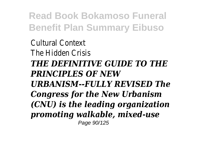Cultural Context The Hidden Crisis *THE DEFINITIVE GUIDE TO THE PRINCIPLES OF NEW URBANISM--FULLY REVISED The Congress for the New Urbanism (CNU) is the leading organization promoting walkable, mixed-use* Page 90/125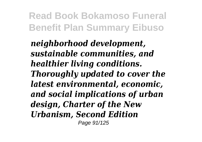*neighborhood development, sustainable communities, and healthier living conditions. Thoroughly updated to cover the latest environmental, economic, and social implications of urban design, Charter of the New Urbanism, Second Edition* Page 91/125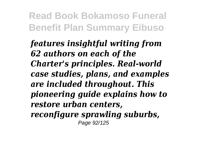*features insightful writing from 62 authors on each of the Charter's principles. Real-world case studies, plans, and examples are included throughout. This pioneering guide explains how to restore urban centers, reconfigure sprawling suburbs,* Page 92/125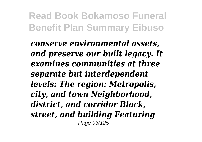*conserve environmental assets, and preserve our built legacy. It examines communities at three separate but interdependent levels: The region: Metropolis, city, and town Neighborhood, district, and corridor Block, street, and building Featuring* Page 93/125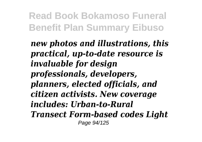*new photos and illustrations, this practical, up-to-date resource is invaluable for design professionals, developers, planners, elected officials, and citizen activists. New coverage includes: Urban-to-Rural Transect Form-based codes Light* Page 94/125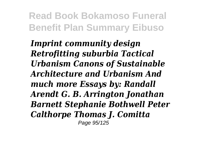*Imprint community design Retrofitting suburbia Tactical Urbanism Canons of Sustainable Architecture and Urbanism And much more Essays by: Randall Arendt G. B. Arrington Jonathan Barnett Stephanie Bothwell Peter Calthorpe Thomas J. Comitta* Page 95/125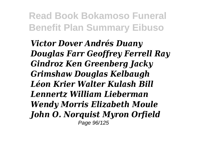*Victor Dover Andrés Duany Douglas Farr Geoffrey Ferrell Ray Gindroz Ken Greenberg Jacky Grimshaw Douglas Kelbaugh Léon Krier Walter Kulash Bill Lennertz William Lieberman Wendy Morris Elizabeth Moule John O. Norquist Myron Orfield* Page 96/125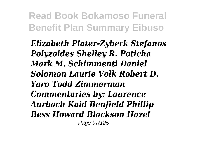*Elizabeth Plater-Zyberk Stefanos Polyzoides Shelley R. Poticha Mark M. Schimmenti Daniel Solomon Laurie Volk Robert D. Yaro Todd Zimmerman Commentaries by: Laurence Aurbach Kaid Benfield Phillip Bess Howard Blackson Hazel* Page 97/125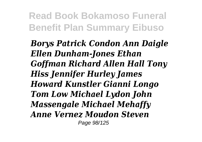*Borys Patrick Condon Ann Daigle Ellen Dunham-Jones Ethan Goffman Richard Allen Hall Tony Hiss Jennifer Hurley James Howard Kunstler Gianni Longo Tom Low Michael Lydon John Massengale Michael Mehaffy Anne Vernez Moudon Steven* Page 98/125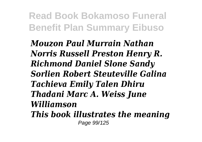*Mouzon Paul Murrain Nathan Norris Russell Preston Henry R. Richmond Daniel Slone Sandy Sorlien Robert Steuteville Galina Tachieva Emily Talen Dhiru Thadani Marc A. Weiss June Williamson This book illustrates the meaning* Page 99/125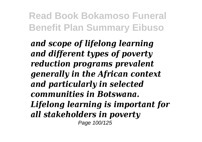*and scope of lifelong learning and different types of poverty reduction programs prevalent generally in the African context and particularly in selected communities in Botswana. Lifelong learning is important for all stakeholders in poverty* Page 100/125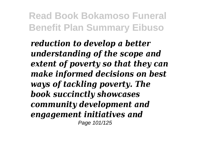*reduction to develop a better understanding of the scope and extent of poverty so that they can make informed decisions on best ways of tackling poverty. The book succinctly showcases community development and engagement initiatives and* Page 101/125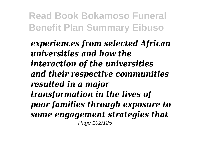*experiences from selected African universities and how the interaction of the universities and their respective communities resulted in a major transformation in the lives of poor families through exposure to some engagement strategies that* Page 102/125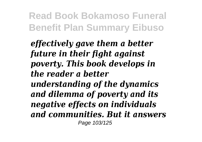*effectively gave them a better future in their fight against poverty. This book develops in the reader a better understanding of the dynamics and dilemma of poverty and its negative effects on individuals and communities. But it answers* Page 103/125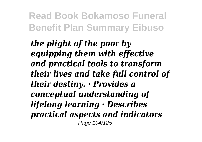*the plight of the poor by equipping them with effective and practical tools to transform their lives and take full control of their destiny. · Provides a conceptual understanding of lifelong learning · Describes practical aspects and indicators* Page 104/125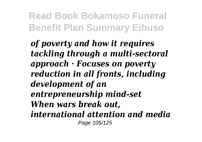*of poverty and how it requires tackling through a multi-sectoral approach · Focuses on poverty reduction in all fronts, including development of an entrepreneurship mind-set When wars break out, international attention and media* Page 105/125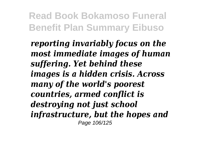*reporting invariably focus on the most immediate images of human suffering. Yet behind these images is a hidden crisis. Across many of the world's poorest countries, armed conflict is destroying not just school infrastructure, but the hopes and* Page 106/125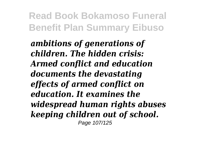*ambitions of generations of children. The hidden crisis: Armed conflict and education documents the devastating effects of armed conflict on education. It examines the widespread human rights abuses keeping children out of school.* Page 107/125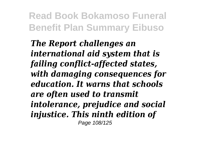*The Report challenges an international aid system that is failing conflict-affected states, with damaging consequences for education. It warns that schools are often used to transmit intolerance, prejudice and social injustice. This ninth edition of* Page 108/125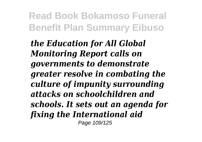*the Education for All Global Monitoring Report calls on governments to demonstrate greater resolve in combating the culture of impunity surrounding attacks on schoolchildren and schools. It sets out an agenda for fixing the International aid* Page 109/125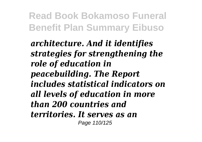*architecture. And it identifies strategies for strengthening the role of education in peacebuilding. The Report includes statistical indicators on all levels of education in more than 200 countries and territories. It serves as an* Page 110/125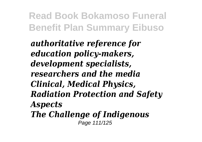*authoritative reference for education policy-makers, development specialists, researchers and the media Clinical, Medical Physics, Radiation Protection and Safety Aspects The Challenge of Indigenous* Page 111/125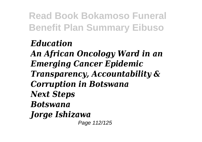#### *Education*

*An African Oncology Ward in an Emerging Cancer Epidemic Transparency, Accountability & Corruption in Botswana Next Steps Botswana Jorge Ishizawa* Page 112/125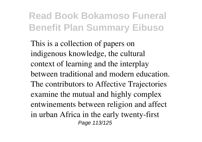This is a collection of papers on indigenous knowledge, the cultural context of learning and the interplay between traditional and modern education. The contributors to Affective Trajectories examine the mutual and highly complex entwinements between religion and affect in urban Africa in the early twenty-first Page 113/125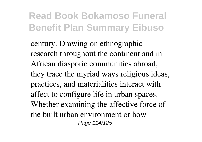century. Drawing on ethnographic research throughout the continent and in African diasporic communities abroad, they trace the myriad ways religious ideas, practices, and materialities interact with affect to configure life in urban spaces. Whether examining the affective force of the built urban environment or how Page 114/125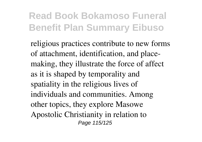religious practices contribute to new forms of attachment, identification, and placemaking, they illustrate the force of affect as it is shaped by temporality and spatiality in the religious lives of individuals and communities. Among other topics, they explore Masowe Apostolic Christianity in relation to Page 115/125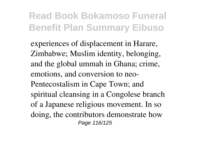experiences of displacement in Harare, Zimbabwe; Muslim identity, belonging, and the global ummah in Ghana; crime, emotions, and conversion to neo-Pentecostalism in Cape Town; and spiritual cleansing in a Congolese branch of a Japanese religious movement. In so doing, the contributors demonstrate how Page 116/125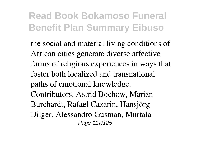the social and material living conditions of African cities generate diverse affective forms of religious experiences in ways that foster both localized and transnational paths of emotional knowledge. Contributors. Astrid Bochow, Marian Burchardt, Rafael Cazarin, Hansjörg Dilger, Alessandro Gusman, Murtala Page 117/125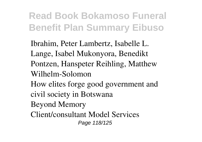Ibrahim, Peter Lambertz, Isabelle L. Lange, Isabel Mukonyora, Benedikt Pontzen, Hanspeter Reihling, Matthew Wilhelm-Solomon How elites forge good government and civil society in Botswana Beyond Memory Client/consultant Model Services Page 118/125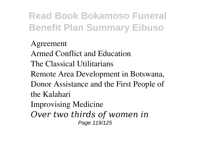Agreement Armed Conflict and Education The Classical Utilitarians Remote Area Development in Botswana, Donor Assistance and the First People of the Kalahari Improvising Medicine *Over two thirds of women in* Page 119/125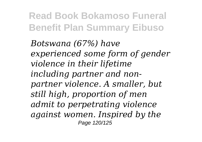*Botswana (67%) have experienced some form of gender violence in their lifetime including partner and nonpartner violence. A smaller, but still high, proportion of men admit to perpetrating violence against women. Inspired by the* Page 120/125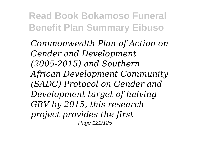*Commonwealth Plan of Action on Gender and Development (2005-2015) and Southern African Development Community (SADC) Protocol on Gender and Development target of halving GBV by 2015, this research project provides the first* Page 121/125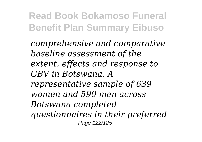*comprehensive and comparative baseline assessment of the extent, effects and response to GBV in Botswana. A representative sample of 639 women and 590 men across Botswana completed questionnaires in their preferred* Page 122/125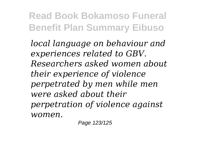*local language on behaviour and experiences related to GBV. Researchers asked women about their experience of violence perpetrated by men while men were asked about their perpetration of violence against women.*

Page 123/125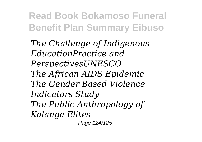*The Challenge of Indigenous EducationPractice and PerspectivesUNESCO The African AIDS Epidemic The Gender Based Violence Indicators Study The Public Anthropology of Kalanga Elites*

Page 124/125